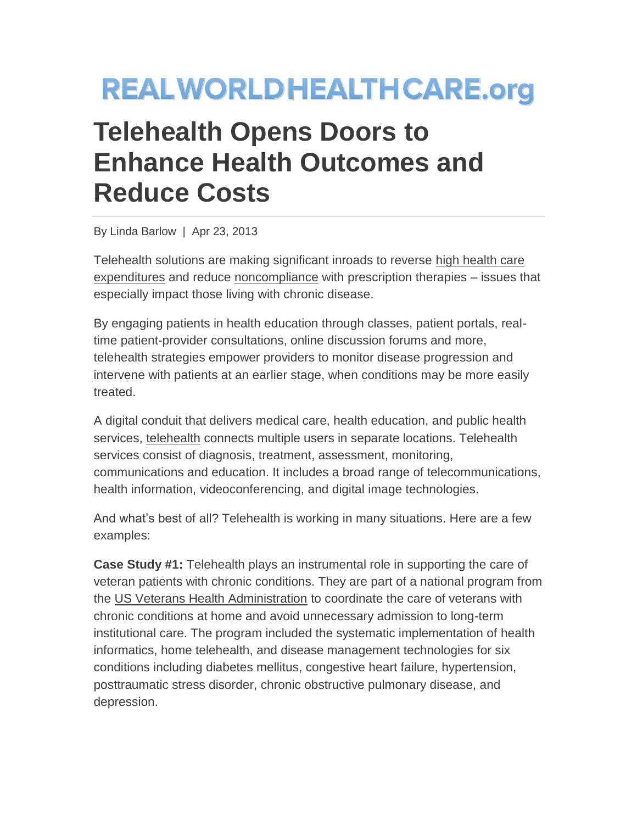## **REALWORLDHEALTHCARE.org**

## **Telehealth Opens Doors to Enhance Health Outcomes and Reduce Costs**

By Linda Barlow | Apr 23, 2013

Telehealth solutions are making significant inroads to reverse [high health care](http://www.cdc.gov/chronicdisease/resources/publications/AAG/chronic.htm)  [expenditures](http://www.cdc.gov/chronicdisease/resources/publications/AAG/chronic.htm) and reduce [noncompliance](http://www.capgemini-consulting.com/patient-adherence-the-next-frontier-in-patient-care) with prescription therapies – issues that especially impact those living with chronic disease.

By engaging patients in health education through classes, patient portals, realtime patient-provider consultations, online discussion forums and more, telehealth strategies empower providers to monitor disease progression and intervene with patients at an earlier stage, when conditions may be more easily treated.

A digital conduit that delivers medical care, health education, and public health services, [telehealth](http://www.hrsa.gov/ruralhealth/about/telehealth/) connects multiple users in separate locations. Telehealth services consist of diagnosis, treatment, assessment, monitoring, communications and education. It includes a broad range of telecommunications, health information, videoconferencing, and digital image technologies.

And what's best of all? Telehealth is working in many situations. Here are a few examples:

**Case Study #1:** Telehealth plays an instrumental role in supporting the care of veteran patients with chronic conditions. They are part of a national program from the [US Veterans Health Administration](http://www.va.gov/health/default.asp) to coordinate the care of veterans with chronic conditions at home and avoid unnecessary admission to long-term institutional care. The program included the systematic implementation of health informatics, home telehealth, and disease management technologies for six conditions including diabetes mellitus, congestive heart failure, hypertension, posttraumatic stress disorder, chronic obstructive pulmonary disease, and depression.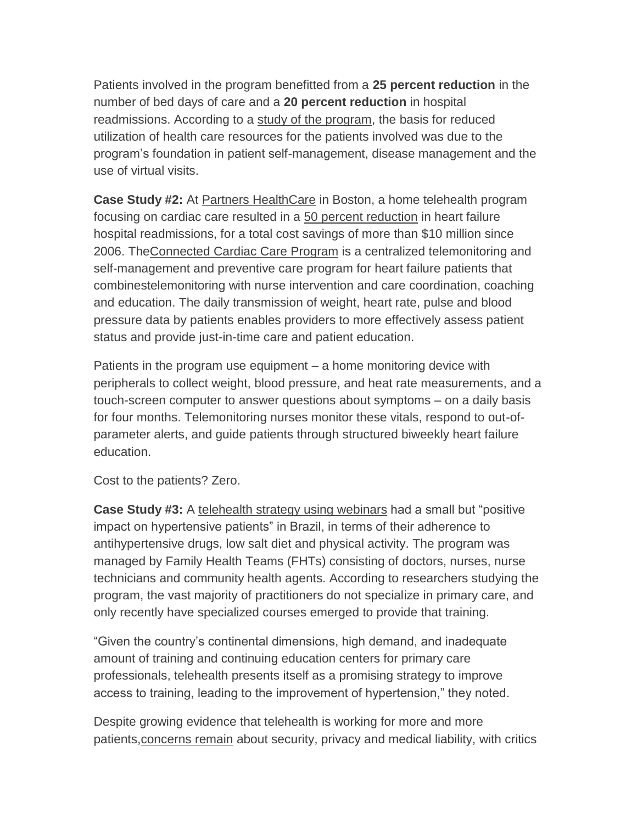Patients involved in the program benefitted from a **25 percent reduction** in the number of bed days of care and a **20 percent reduction** in hospital readmissions. According to a [study of the program,](http://www.commonwealthfund.org/Publications/Case-Studies/2013/Jan/Telehealth-Synthesis.aspx) the basis for reduced utilization of health care resources for the patients involved was due to the program's foundation in patient self-management, disease management and the use of virtual visits.

**Case Study #2:** At [Partners HealthCare](http://www.partners.org/) in Boston, a home telehealth program focusing on cardiac care resulted in a [50 percent reduction](http://www.commonwealthfund.org/Publications/Case-Studies/2013/Jan/Telehealth-Partners.aspx) in heart failure hospital readmissions, for a total cost savings of more than \$10 million since 2006. Th[eConnected Cardiac Care Program](http://connected-health.org/) is a centralized telemonitoring and self-management and preventive care program for heart failure patients that combinestelemonitoring with nurse intervention and care coordination, coaching and education. The daily transmission of weight, heart rate, pulse and blood pressure data by patients enables providers to more effectively assess patient status and provide just-in-time care and patient education.

Patients in the program use equipment – a home monitoring device with peripherals to collect weight, blood pressure, and heat rate measurements, and a touch-screen computer to answer questions about symptoms – on a daily basis for four months. Telemonitoring nurses monitor these vitals, respond to out-ofparameter alerts, and guide patients through structured biweekly heart failure education.

Cost to the patients? Zero.

**Case Study #3:** A [telehealth strategy using webinars](http://online.liebertpub.com/doi/pdfplus/10.1089/tmj.2012.0036) had a small but "positive impact on hypertensive patients" in Brazil, in terms of their adherence to antihypertensive drugs, low salt diet and physical activity. The program was managed by Family Health Teams (FHTs) consisting of doctors, nurses, nurse technicians and community health agents. According to researchers studying the program, the vast majority of practitioners do not specialize in primary care, and only recently have specialized courses emerged to provide that training.

"Given the country's continental dimensions, high demand, and inadequate amount of training and continuing education centers for primary care professionals, telehealth presents itself as a promising strategy to improve access to training, leading to the improvement of hypertension," they noted.

Despite growing evidence that telehealth is working for more and more patients[,concerns remain](http://news.medill.northwestern.edu/chicago/news.aspx?id=209633) about security, privacy and medical liability, with critics